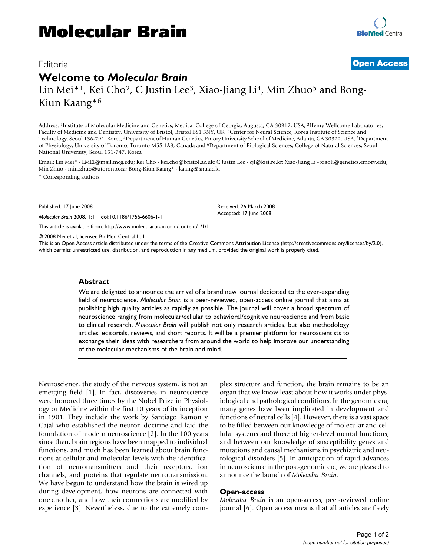# Editorial **[Open Access](http://www.biomedcentral.com/info/about/charter/)**

# **Welcome to** *Molecular Brain*

Lin Mei<sup>\*1</sup>, Kei Cho<sup>2</sup>, C Justin Lee<sup>3</sup>, Xiao-Jiang Li<sup>4</sup>, Min Zhuo<sup>5</sup> and Bong-Kiun Kaang\*6

Address: 1Institute of Molecular Medicine and Genetics, Medical College of Georgia, Augusta, GA 30912, USA, 2Henry Wellcome Laboratories, Faculty of Medicine and Dentistry, University of Bristol, Bristol BS1 3NY, UK, 3Center for Neural Science, Korea Institute of Science and Technology, Seoul 136-791, Korea, 4Department of Human Genetics, Emory University School of Medicine, Atlanta, GA 30322, USA, 5Department of Physiology, University of Toronto, Toronto M5S 1A8, Canada and 6Department of Biological Sciences, College of Natural Sciences, Seoul National University, Seoul 151-747, Korea

Email: Lin Mei\* - LMEI@mail.mcg.edu; Kei Cho - kei.cho@bristol.ac.uk; C Justin Lee - cjl@kist.re.kr; Xiao-Jiang Li - xiaoli@genetics.emory.edu; Min Zhuo - min.zhuo@utoronto.ca; Bong-Kiun Kaang\* - kaang@snu.ac.kr

> Received: 26 March 2008 Accepted: 17 June 2008

\* Corresponding authors

Published: 17 June 2008

*Molecular Brain* 2008, **1**:1 doi:10.1186/1756-6606-1-1

[This article is available from: http://www.molecularbrain.com/content/1/1/1](http://www.molecularbrain.com/content/1/1/1)

© 2008 Mei et al; licensee BioMed Central Ltd.

This is an Open Access article distributed under the terms of the Creative Commons Attribution License [\(http://creativecommons.org/licenses/by/2.0\)](http://creativecommons.org/licenses/by/2.0), which permits unrestricted use, distribution, and reproduction in any medium, provided the original work is properly cited.

#### **Abstract**

We are delighted to announce the arrival of a brand new journal dedicated to the ever-expanding field of neuroscience. *Molecular Brain* is a peer-reviewed, open-access online journal that aims at publishing high quality articles as rapidly as possible. The journal will cover a broad spectrum of neuroscience ranging from molecular/cellular to behavioral/cognitive neuroscience and from basic to clinical research. *Molecular Brain* will publish not only research articles, but also methodology articles, editorials, reviews, and short reports. It will be a premier platform for neuroscientists to exchange their ideas with researchers from around the world to help improve our understanding of the molecular mechanisms of the brain and mind.

Neuroscience, the study of the nervous system, is not an emerging field [1]. In fact, discoveries in neuroscience were honored three times by the Nobel Prize in Physiology or Medicine within the first 10 years of its inception in 1901. They include the work by Santiago Ramon y Cajal who established the neuron doctrine and laid the foundation of modern neuroscience [2]. In the 100 years since then, brain regions have been mapped to individual functions, and much has been learned about brain functions at cellular and molecular levels with the identification of neurotransmitters and their receptors, ion channels, and proteins that regulate neurotransmission. We have begun to understand how the brain is wired up during development, how neurons are connected with one another, and how their connections are modified by experience [3]. Nevertheless, due to the extremely complex structure and function, the brain remains to be an organ that we know least about how it works under physiological and pathological conditions. In the genomic era, many genes have been implicated in development and functions of neural cells [4]. However, there is a vast space to be filled between our knowledge of molecular and cellular systems and those of higher-level mental functions, and between our knowledge of susceptibility genes and mutations and causal mechanisms in psychiatric and neurological disorders [5]. In anticipation of rapid advances in neuroscience in the post-genomic era, we are pleased to announce the launch of *Molecular Brain*.

#### **Open-access**

*Molecular Brain* is an open-access, peer-reviewed online journal [6]. Open access means that all articles are freely